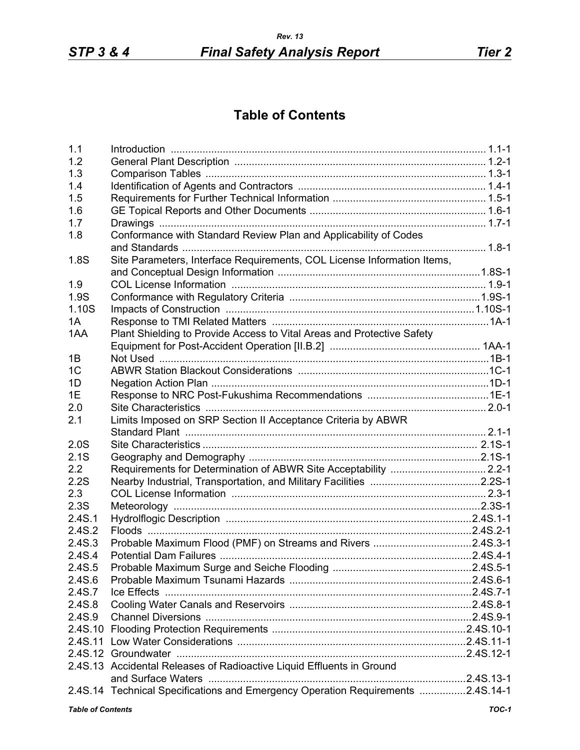## **Table of Contents**

| 1.1                      |                                                                                 |       |
|--------------------------|---------------------------------------------------------------------------------|-------|
| 1.2                      |                                                                                 |       |
| 1.3                      |                                                                                 |       |
| 1.4                      |                                                                                 |       |
| 1.5                      |                                                                                 |       |
| 1.6                      |                                                                                 |       |
| 1.7                      |                                                                                 |       |
| 1.8                      | Conformance with Standard Review Plan and Applicability of Codes                |       |
|                          |                                                                                 |       |
| 1.8S                     | Site Parameters, Interface Requirements, COL License Information Items,         |       |
|                          |                                                                                 |       |
| 1.9                      |                                                                                 |       |
| 1.9S                     |                                                                                 |       |
| 1.10S                    |                                                                                 |       |
| 1A                       |                                                                                 |       |
| 1AA                      | Plant Shielding to Provide Access to Vital Areas and Protective Safety          |       |
|                          |                                                                                 |       |
| 1B                       |                                                                                 |       |
| 1 <sup>C</sup>           |                                                                                 |       |
| 1D                       |                                                                                 |       |
| 1E                       |                                                                                 |       |
| 2.0                      |                                                                                 |       |
| 2.1                      | Limits Imposed on SRP Section II Acceptance Criteria by ABWR                    |       |
|                          |                                                                                 |       |
| 2.0S                     |                                                                                 |       |
| 2.1S                     |                                                                                 |       |
| 2.2                      |                                                                                 |       |
| 2.2S                     |                                                                                 |       |
| 2.3                      |                                                                                 |       |
| 2.3S                     |                                                                                 |       |
| 2.4S.1                   |                                                                                 |       |
| 2.4S.2                   |                                                                                 |       |
| 2.4S.3                   | Probable Maximum Flood (PMF) on Streams and Rivers 2.4S.3-1                     |       |
| 2.4S.4                   |                                                                                 |       |
| 2.4S.5                   |                                                                                 |       |
| 2.4S.6                   |                                                                                 |       |
| 2.4S.7                   |                                                                                 |       |
| 2.4S.8                   |                                                                                 |       |
| 2.4S.9                   |                                                                                 |       |
|                          |                                                                                 |       |
|                          |                                                                                 |       |
|                          |                                                                                 |       |
|                          | 2.4S.13 Accidental Releases of Radioactive Liquid Effluents in Ground           |       |
|                          |                                                                                 |       |
|                          | 2.4S.14 Technical Specifications and Emergency Operation Requirements 2.4S.14-1 |       |
| <b>Table of Contents</b> |                                                                                 | TOC-1 |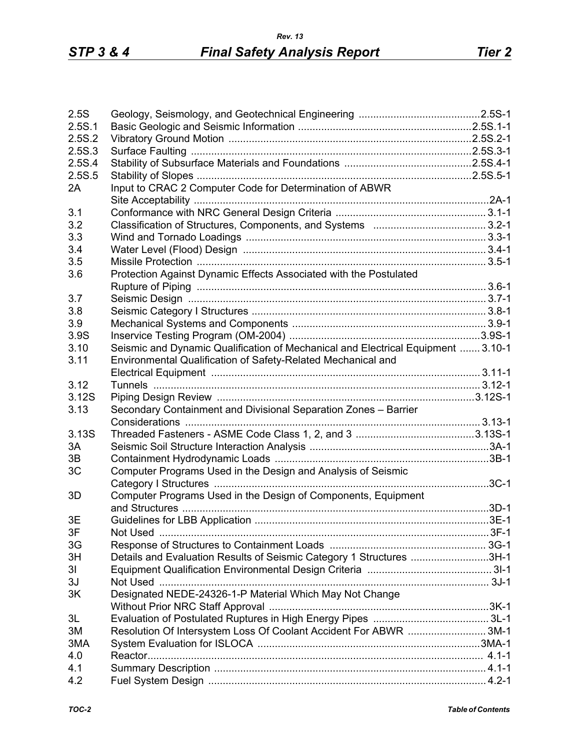| 2.5S           |                                                                                  |  |
|----------------|----------------------------------------------------------------------------------|--|
| 2.5S.1         |                                                                                  |  |
|                |                                                                                  |  |
| 2.5S.2         |                                                                                  |  |
| 2.5S.3         |                                                                                  |  |
| 2.5S.4         |                                                                                  |  |
| 2.5S.5         |                                                                                  |  |
| 2A             | Input to CRAC 2 Computer Code for Determination of ABWR                          |  |
|                |                                                                                  |  |
| 3.1            |                                                                                  |  |
| 3.2            |                                                                                  |  |
| 3.3            |                                                                                  |  |
| 3.4            |                                                                                  |  |
| 3.5            |                                                                                  |  |
| 3.6            | Protection Against Dynamic Effects Associated with the Postulated                |  |
|                |                                                                                  |  |
| 3.7            |                                                                                  |  |
| 3.8            |                                                                                  |  |
| 3.9            |                                                                                  |  |
| 3.9S           |                                                                                  |  |
| 3.10           | Seismic and Dynamic Qualification of Mechanical and Electrical Equipment  3.10-1 |  |
| 3.11           | Environmental Qualification of Safety-Related Mechanical and                     |  |
|                |                                                                                  |  |
| 3.12           |                                                                                  |  |
| 3.12S          |                                                                                  |  |
| 3.13           | Secondary Containment and Divisional Separation Zones - Barrier                  |  |
|                |                                                                                  |  |
| 3.13S          |                                                                                  |  |
| 3A             |                                                                                  |  |
| 3B             |                                                                                  |  |
|                |                                                                                  |  |
| 3C             | Computer Programs Used in the Design and Analysis of Seismic                     |  |
|                |                                                                                  |  |
| 3D             | Computer Programs Used in the Design of Components, Equipment                    |  |
|                |                                                                                  |  |
| 3E             |                                                                                  |  |
| 3F             |                                                                                  |  |
| 3G             |                                                                                  |  |
| 3H             | Details and Evaluation Results of Seismic Category 1 Structures 3H-1             |  |
| 3 <sub>l</sub> |                                                                                  |  |
| 3J             |                                                                                  |  |
| 3K             | Designated NEDE-24326-1-P Material Which May Not Change                          |  |
|                |                                                                                  |  |
| 3L             |                                                                                  |  |
| 3M             | Resolution Of Intersystem Loss Of Coolant Accident For ABWR 3M-1                 |  |
| 3MA            |                                                                                  |  |
| 4.0            |                                                                                  |  |
| 4.1            |                                                                                  |  |
| 4.2            |                                                                                  |  |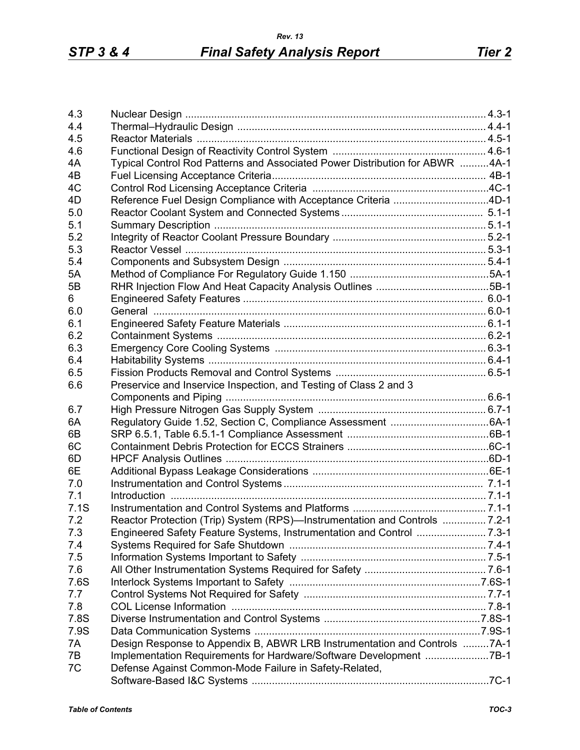| 4.3        |                                                                                                                  |  |
|------------|------------------------------------------------------------------------------------------------------------------|--|
| 4.4        |                                                                                                                  |  |
| 4.5        |                                                                                                                  |  |
| 4.6        |                                                                                                                  |  |
| 4A         | Typical Control Rod Patterns and Associated Power Distribution for ABWR 4A-1                                     |  |
| 4B         |                                                                                                                  |  |
| 4C         |                                                                                                                  |  |
| 4D         | Reference Fuel Design Compliance with Acceptance Criteria 4D-1                                                   |  |
| 5.0        |                                                                                                                  |  |
|            |                                                                                                                  |  |
| 5.1<br>5.2 |                                                                                                                  |  |
|            |                                                                                                                  |  |
| 5.3        |                                                                                                                  |  |
| 5.4        |                                                                                                                  |  |
| 5A         |                                                                                                                  |  |
| 5B         |                                                                                                                  |  |
| 6          |                                                                                                                  |  |
| 6.0        |                                                                                                                  |  |
| 6.1        |                                                                                                                  |  |
| 6.2        |                                                                                                                  |  |
| 6.3        |                                                                                                                  |  |
| 6.4        |                                                                                                                  |  |
| 6.5        |                                                                                                                  |  |
| 6.6        | Preservice and Inservice Inspection, and Testing of Class 2 and 3                                                |  |
|            |                                                                                                                  |  |
| 6.7        |                                                                                                                  |  |
| 6A         |                                                                                                                  |  |
| 6B         |                                                                                                                  |  |
| 6C         |                                                                                                                  |  |
| 6D         |                                                                                                                  |  |
| 6E         |                                                                                                                  |  |
| 7.0        |                                                                                                                  |  |
| 7.1        |                                                                                                                  |  |
| 7.1S       |                                                                                                                  |  |
| 7.2        | Reactor Protection (Trip) System (RPS)—Instrumentation and Controls  7.2-1                                       |  |
| 7.3        | Engineered Safety Feature Systems, Instrumentation and Control 7.3-1                                             |  |
| 7.4        |                                                                                                                  |  |
| 7.5        |                                                                                                                  |  |
| 7.6        |                                                                                                                  |  |
| 7.6S       |                                                                                                                  |  |
| 7.7        |                                                                                                                  |  |
| 7.8        | 7.8-1. 7.8-1 . The Director School of the University of the University of the University ODL License Information |  |
| 7.8S       |                                                                                                                  |  |
| 7.9S       |                                                                                                                  |  |
| 7A         | Design Response to Appendix B, ABWR LRB Instrumentation and Controls 7A-1                                        |  |
| 7B         | Implementation Requirements for Hardware/Software Development 7B-1                                               |  |
| 7C         | Defense Against Common-Mode Failure in Safety-Related,                                                           |  |
|            |                                                                                                                  |  |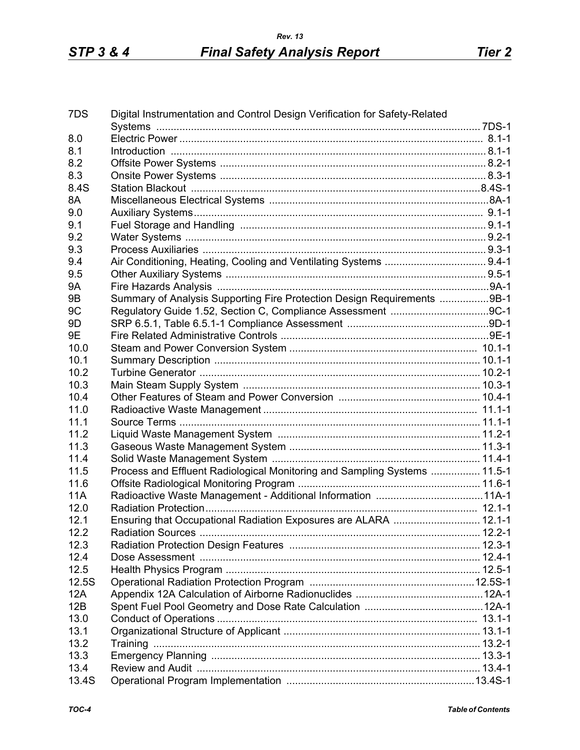| 7DS        | Digital Instrumentation and Control Design Verification for Safety-Related |  |
|------------|----------------------------------------------------------------------------|--|
|            |                                                                            |  |
| 8.0        |                                                                            |  |
| 8.1        |                                                                            |  |
| 8.2        |                                                                            |  |
| 8.3        |                                                                            |  |
| 8.4S       |                                                                            |  |
| 8A         |                                                                            |  |
| 9.0        |                                                                            |  |
| 9.1        |                                                                            |  |
| 9.2        |                                                                            |  |
| 9.3        |                                                                            |  |
| 9.4        |                                                                            |  |
| 9.5        |                                                                            |  |
| <b>9A</b>  |                                                                            |  |
| 9B         | Summary of Analysis Supporting Fire Protection Design Requirements 9B-1    |  |
| 9C         |                                                                            |  |
| 9D         |                                                                            |  |
| 9E         |                                                                            |  |
| 10.0       |                                                                            |  |
| 10.1       |                                                                            |  |
| 10.2       |                                                                            |  |
| 10.3       |                                                                            |  |
| 10.4       |                                                                            |  |
| 11.0       |                                                                            |  |
| 11.1       |                                                                            |  |
| 11.2       |                                                                            |  |
| 11.3       |                                                                            |  |
| 11.4       |                                                                            |  |
| 11.5       | Process and Effluent Radiological Monitoring and Sampling Systems  11.5-1  |  |
| 11.6       |                                                                            |  |
| <b>11A</b> |                                                                            |  |
| 12.0       |                                                                            |  |
| 12.1       | Ensuring that Occupational Radiation Exposures are ALARA  12.1-1           |  |
| 12.2       |                                                                            |  |
| 12.3       |                                                                            |  |
| 12.4       |                                                                            |  |
| 12.5       |                                                                            |  |
| 12.5S      |                                                                            |  |
| 12A        |                                                                            |  |
| 12B        |                                                                            |  |
| 13.0       |                                                                            |  |
| 13.1       |                                                                            |  |
| 13.2       |                                                                            |  |
| 13.3       |                                                                            |  |
| 13.4       |                                                                            |  |
| 13.4S      |                                                                            |  |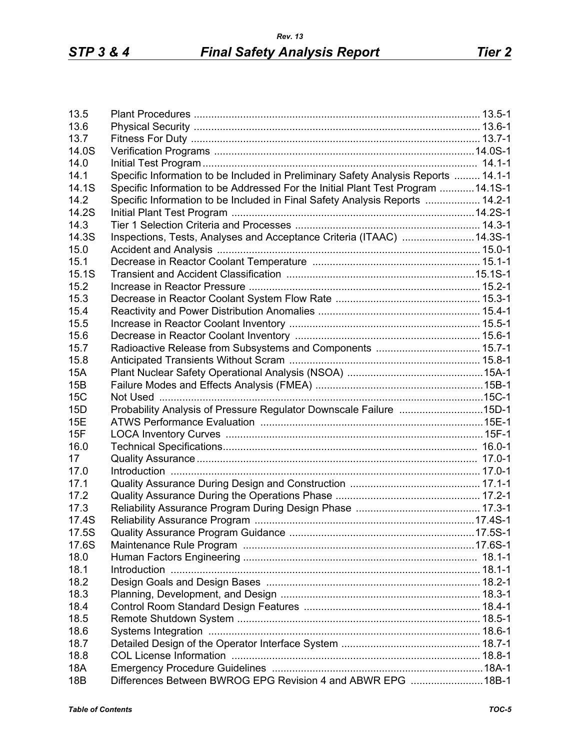| 13.5            |                                                                                    |  |
|-----------------|------------------------------------------------------------------------------------|--|
| 13.6            |                                                                                    |  |
| 13.7            |                                                                                    |  |
| 14.0S           |                                                                                    |  |
| 14.0            |                                                                                    |  |
| 14.1            | Specific Information to be Included in Preliminary Safety Analysis Reports  14.1-1 |  |
| 14.1S           | Specific Information to be Addressed For the Initial Plant Test Program  14.1S-1   |  |
| 14.2            | Specific Information to be Included in Final Safety Analysis Reports  14.2-1       |  |
| 14.2S           |                                                                                    |  |
| 14.3            |                                                                                    |  |
| 14.3S           | Inspections, Tests, Analyses and Acceptance Criteria (ITAAC) 14.3S-1               |  |
| 15.0            |                                                                                    |  |
| 15.1            |                                                                                    |  |
| 15.1S           |                                                                                    |  |
| 15.2            |                                                                                    |  |
| 15.3            |                                                                                    |  |
|                 |                                                                                    |  |
| 15.4            |                                                                                    |  |
| 15.5            |                                                                                    |  |
| 15.6            |                                                                                    |  |
| 15.7            |                                                                                    |  |
| 15.8            |                                                                                    |  |
| <b>15A</b>      |                                                                                    |  |
| 15B             |                                                                                    |  |
| <b>15C</b>      |                                                                                    |  |
| 15D             | Probability Analysis of Pressure Regulator Downscale Failure 15D-1                 |  |
| 15E             |                                                                                    |  |
| 15F             |                                                                                    |  |
| 16.0            |                                                                                    |  |
| 17              |                                                                                    |  |
| 17.0            |                                                                                    |  |
| 17.1            |                                                                                    |  |
| 17.2            |                                                                                    |  |
| 17.3            |                                                                                    |  |
| 17.4S           |                                                                                    |  |
| 17.5S           |                                                                                    |  |
| 17.6S           |                                                                                    |  |
| 18.0            |                                                                                    |  |
| 18.1            |                                                                                    |  |
| 18.2            |                                                                                    |  |
| 18.3            |                                                                                    |  |
| 18.4            |                                                                                    |  |
| 18.5            |                                                                                    |  |
|                 |                                                                                    |  |
| 18.6            |                                                                                    |  |
| 18.7            |                                                                                    |  |
| 18.8            |                                                                                    |  |
| 18A             |                                                                                    |  |
| 18 <sub>B</sub> | Differences Between BWROG EPG Revision 4 and ABWR EPG 18B-1                        |  |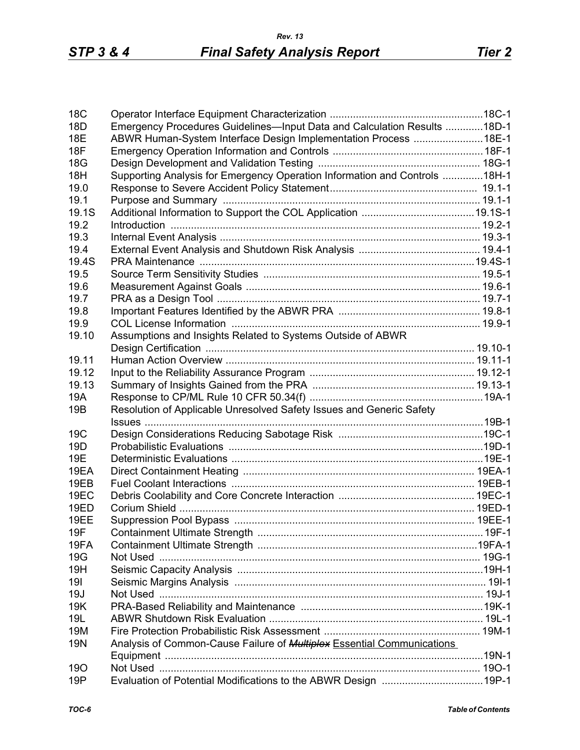| Emergency Procedures Guidelines-Input Data and Calculation Results 18D-1<br>18D<br>ABWR Human-System Interface Design Implementation Process  18E-1<br>18E<br>18F<br>18G<br>Supporting Analysis for Emergency Operation Information and Controls 18H-1<br>18H<br>19.0<br>19.1<br>19.1S<br>19.2<br>19.3<br>19.4<br>19.4S<br>19.5<br>19.6<br>19.7<br>19.8<br>19.9<br>Assumptions and Insights Related to Systems Outside of ABWR<br>19.10<br>19.11<br>19.12<br>19.13<br>19A<br>Resolution of Applicable Unresolved Safety Issues and Generic Safety<br>19 <sub>B</sub><br>19C<br>19 <sub>D</sub><br>19E<br>19EA<br>19EB<br>19EC<br>19ED<br>19EE<br>19F<br>19FA<br>19G<br>19H<br>191<br>19J<br>19K<br>19L<br>19M<br>Analysis of Common-Cause Failure of <b>Multiplex Essential Communications</b><br><b>19N</b><br>190<br>Evaluation of Potential Modifications to the ABWR Design  19P-1<br>19P | 18 <sub>C</sub> |  |
|-----------------------------------------------------------------------------------------------------------------------------------------------------------------------------------------------------------------------------------------------------------------------------------------------------------------------------------------------------------------------------------------------------------------------------------------------------------------------------------------------------------------------------------------------------------------------------------------------------------------------------------------------------------------------------------------------------------------------------------------------------------------------------------------------------------------------------------------------------------------------------------------------|-----------------|--|
|                                                                                                                                                                                                                                                                                                                                                                                                                                                                                                                                                                                                                                                                                                                                                                                                                                                                                               |                 |  |
|                                                                                                                                                                                                                                                                                                                                                                                                                                                                                                                                                                                                                                                                                                                                                                                                                                                                                               |                 |  |
|                                                                                                                                                                                                                                                                                                                                                                                                                                                                                                                                                                                                                                                                                                                                                                                                                                                                                               |                 |  |
|                                                                                                                                                                                                                                                                                                                                                                                                                                                                                                                                                                                                                                                                                                                                                                                                                                                                                               |                 |  |
|                                                                                                                                                                                                                                                                                                                                                                                                                                                                                                                                                                                                                                                                                                                                                                                                                                                                                               |                 |  |
|                                                                                                                                                                                                                                                                                                                                                                                                                                                                                                                                                                                                                                                                                                                                                                                                                                                                                               |                 |  |
|                                                                                                                                                                                                                                                                                                                                                                                                                                                                                                                                                                                                                                                                                                                                                                                                                                                                                               |                 |  |
|                                                                                                                                                                                                                                                                                                                                                                                                                                                                                                                                                                                                                                                                                                                                                                                                                                                                                               |                 |  |
|                                                                                                                                                                                                                                                                                                                                                                                                                                                                                                                                                                                                                                                                                                                                                                                                                                                                                               |                 |  |
|                                                                                                                                                                                                                                                                                                                                                                                                                                                                                                                                                                                                                                                                                                                                                                                                                                                                                               |                 |  |
|                                                                                                                                                                                                                                                                                                                                                                                                                                                                                                                                                                                                                                                                                                                                                                                                                                                                                               |                 |  |
|                                                                                                                                                                                                                                                                                                                                                                                                                                                                                                                                                                                                                                                                                                                                                                                                                                                                                               |                 |  |
|                                                                                                                                                                                                                                                                                                                                                                                                                                                                                                                                                                                                                                                                                                                                                                                                                                                                                               |                 |  |
|                                                                                                                                                                                                                                                                                                                                                                                                                                                                                                                                                                                                                                                                                                                                                                                                                                                                                               |                 |  |
|                                                                                                                                                                                                                                                                                                                                                                                                                                                                                                                                                                                                                                                                                                                                                                                                                                                                                               |                 |  |
|                                                                                                                                                                                                                                                                                                                                                                                                                                                                                                                                                                                                                                                                                                                                                                                                                                                                                               |                 |  |
|                                                                                                                                                                                                                                                                                                                                                                                                                                                                                                                                                                                                                                                                                                                                                                                                                                                                                               |                 |  |
|                                                                                                                                                                                                                                                                                                                                                                                                                                                                                                                                                                                                                                                                                                                                                                                                                                                                                               |                 |  |
|                                                                                                                                                                                                                                                                                                                                                                                                                                                                                                                                                                                                                                                                                                                                                                                                                                                                                               |                 |  |
|                                                                                                                                                                                                                                                                                                                                                                                                                                                                                                                                                                                                                                                                                                                                                                                                                                                                                               |                 |  |
|                                                                                                                                                                                                                                                                                                                                                                                                                                                                                                                                                                                                                                                                                                                                                                                                                                                                                               |                 |  |
|                                                                                                                                                                                                                                                                                                                                                                                                                                                                                                                                                                                                                                                                                                                                                                                                                                                                                               |                 |  |
|                                                                                                                                                                                                                                                                                                                                                                                                                                                                                                                                                                                                                                                                                                                                                                                                                                                                                               |                 |  |
|                                                                                                                                                                                                                                                                                                                                                                                                                                                                                                                                                                                                                                                                                                                                                                                                                                                                                               |                 |  |
|                                                                                                                                                                                                                                                                                                                                                                                                                                                                                                                                                                                                                                                                                                                                                                                                                                                                                               |                 |  |
|                                                                                                                                                                                                                                                                                                                                                                                                                                                                                                                                                                                                                                                                                                                                                                                                                                                                                               |                 |  |
|                                                                                                                                                                                                                                                                                                                                                                                                                                                                                                                                                                                                                                                                                                                                                                                                                                                                                               |                 |  |
|                                                                                                                                                                                                                                                                                                                                                                                                                                                                                                                                                                                                                                                                                                                                                                                                                                                                                               |                 |  |
|                                                                                                                                                                                                                                                                                                                                                                                                                                                                                                                                                                                                                                                                                                                                                                                                                                                                                               |                 |  |
|                                                                                                                                                                                                                                                                                                                                                                                                                                                                                                                                                                                                                                                                                                                                                                                                                                                                                               |                 |  |
|                                                                                                                                                                                                                                                                                                                                                                                                                                                                                                                                                                                                                                                                                                                                                                                                                                                                                               |                 |  |
|                                                                                                                                                                                                                                                                                                                                                                                                                                                                                                                                                                                                                                                                                                                                                                                                                                                                                               |                 |  |
|                                                                                                                                                                                                                                                                                                                                                                                                                                                                                                                                                                                                                                                                                                                                                                                                                                                                                               |                 |  |
|                                                                                                                                                                                                                                                                                                                                                                                                                                                                                                                                                                                                                                                                                                                                                                                                                                                                                               |                 |  |
|                                                                                                                                                                                                                                                                                                                                                                                                                                                                                                                                                                                                                                                                                                                                                                                                                                                                                               |                 |  |
|                                                                                                                                                                                                                                                                                                                                                                                                                                                                                                                                                                                                                                                                                                                                                                                                                                                                                               |                 |  |
|                                                                                                                                                                                                                                                                                                                                                                                                                                                                                                                                                                                                                                                                                                                                                                                                                                                                                               |                 |  |
|                                                                                                                                                                                                                                                                                                                                                                                                                                                                                                                                                                                                                                                                                                                                                                                                                                                                                               |                 |  |
|                                                                                                                                                                                                                                                                                                                                                                                                                                                                                                                                                                                                                                                                                                                                                                                                                                                                                               |                 |  |
|                                                                                                                                                                                                                                                                                                                                                                                                                                                                                                                                                                                                                                                                                                                                                                                                                                                                                               |                 |  |
|                                                                                                                                                                                                                                                                                                                                                                                                                                                                                                                                                                                                                                                                                                                                                                                                                                                                                               |                 |  |
|                                                                                                                                                                                                                                                                                                                                                                                                                                                                                                                                                                                                                                                                                                                                                                                                                                                                                               |                 |  |
|                                                                                                                                                                                                                                                                                                                                                                                                                                                                                                                                                                                                                                                                                                                                                                                                                                                                                               |                 |  |
|                                                                                                                                                                                                                                                                                                                                                                                                                                                                                                                                                                                                                                                                                                                                                                                                                                                                                               |                 |  |
|                                                                                                                                                                                                                                                                                                                                                                                                                                                                                                                                                                                                                                                                                                                                                                                                                                                                                               |                 |  |
|                                                                                                                                                                                                                                                                                                                                                                                                                                                                                                                                                                                                                                                                                                                                                                                                                                                                                               |                 |  |
|                                                                                                                                                                                                                                                                                                                                                                                                                                                                                                                                                                                                                                                                                                                                                                                                                                                                                               |                 |  |
|                                                                                                                                                                                                                                                                                                                                                                                                                                                                                                                                                                                                                                                                                                                                                                                                                                                                                               |                 |  |